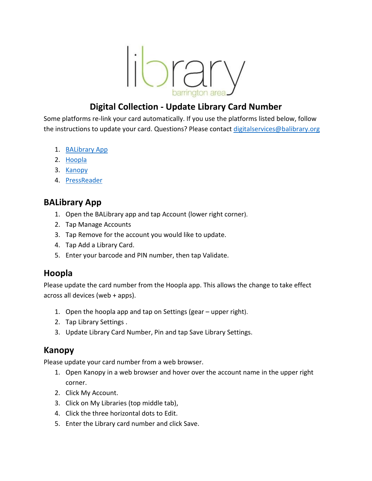library

## **Digital Collection - Update Library Card Number**

Some platforms re-link your card automatically. If you use the platforms listed below, follow the instructions to update your card. Questions? Please contact [digitalservices@balibrary.org](mailto:digitalservices@balibrary.org)

- 1. [BALibrary App](#page-0-0)
- 2. [Hoopla](#page-0-1)
- 3. [Kanopy](#page-0-2)
- 4. [PressReader](#page-1-0)

# <span id="page-0-0"></span>**BALibrary App**

- 1. Open the BALibrary app and tap Account (lower right corner).
- 2. Tap Manage Accounts
- 3. Tap Remove for the account you would like to update.
- 4. Tap Add a Library Card.
- 5. Enter your barcode and PIN number, then tap Validate.

### <span id="page-0-1"></span>**Hoopla**

Please update the card number from the Hoopla app. This allows the change to take effect across all devices (web + apps).

- 1. Open the hoopla app and tap on Settings (gear upper right).
- 2. Tap Library Settings .
- 3. Update Library Card Number, Pin and tap Save Library Settings.

### <span id="page-0-2"></span>**Kanopy**

Please update your card number from a web browser.

- 1. Open Kanopy in a web browser and hover over the account name in the upper right corner.
- 2. Click My Account.
- 3. Click on My Libraries (top middle tab),
- 4. Click the three horizontal dots to Edit.
- 5. Enter the Library card number and click Save.